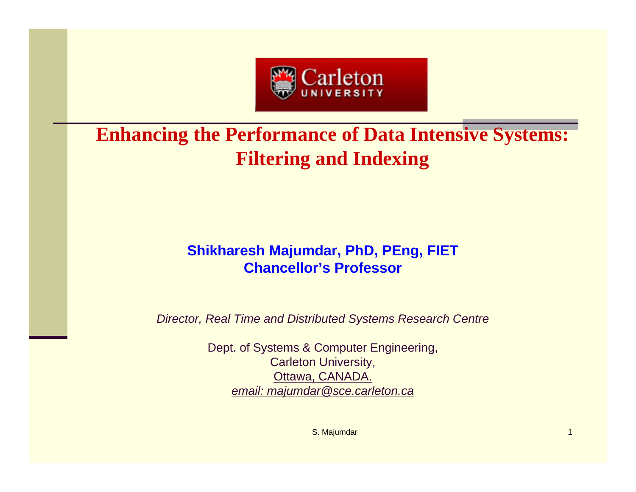

# **Enhancing the Performance of Data Intensive Systems: Filtering and Indexing**

# **Shikharesh Majumdar, PhD, PEng, FIET Chancellor's Professor**

*Director, Real Time and Distributed Systems Research Centre*

Dept. of Systems & Computer Engineering, Carleton University, Ottawa, CANADA. *email: majumdar@sce.carleton.ca*

S. Majumdar 1 and 1 and 1 and 1 and 1 and 1 and 1 and 1 and 1 and 1 and 1 and 1 and 1 and 1 and 1 and 1 and 1 and 1 and 1 and 1 and 1 and 1 and 1 and 1 and 1 and 1 and 1 and 1 and 1 and 1 and 1 and 1 and 1 and 1 and 1 and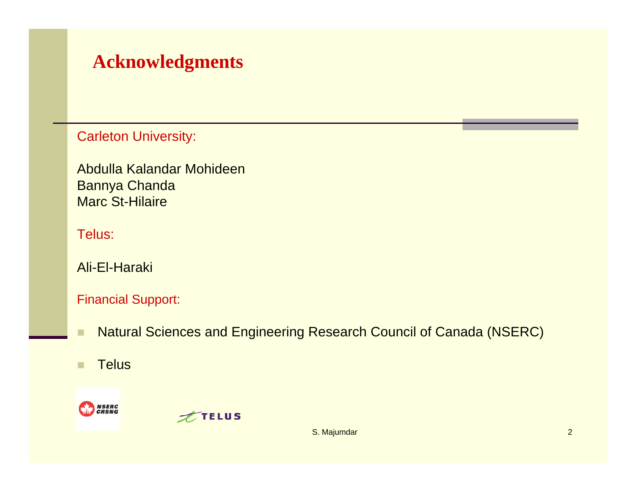# **Acknowledgments**

Carleton University:

Abdulla Kalandar MohideenBannya Chanda Marc St-Hilaire

## Telus:

Ali-El-Haraki

## Financial Support:

- ٠ Natural Sciences and Engineering Research Council of Canada (NSERC)
- ш **Telus**





S. Majumdar 2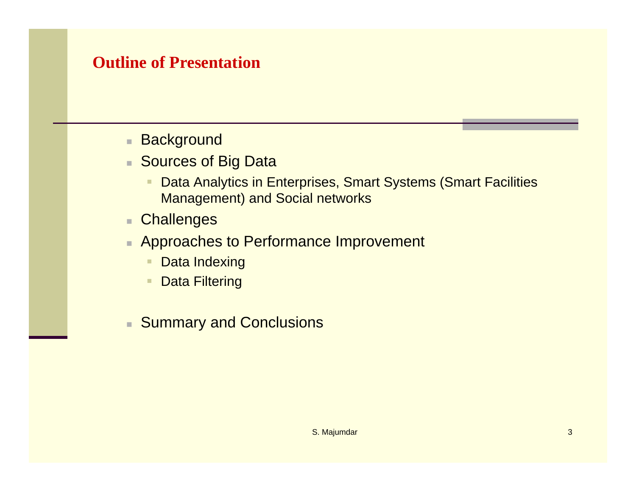# **Outline of Presentation**

- a. **Background**
- Sources of Big Data
	- ٠ Data Analytics in Enterprises, Smart Systems (Smart Facilities Management) and Social networks
- m. **Challenges**
- Approaches to Performance Improvement
	- ٠ Data Indexing
	- ٠ Data Filtering
- Summary and Conclusions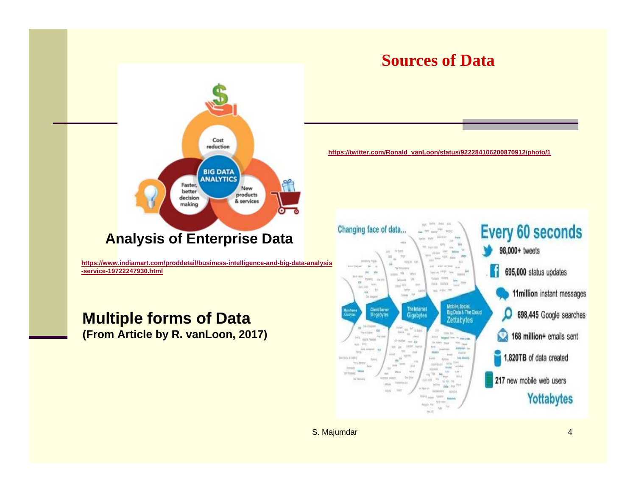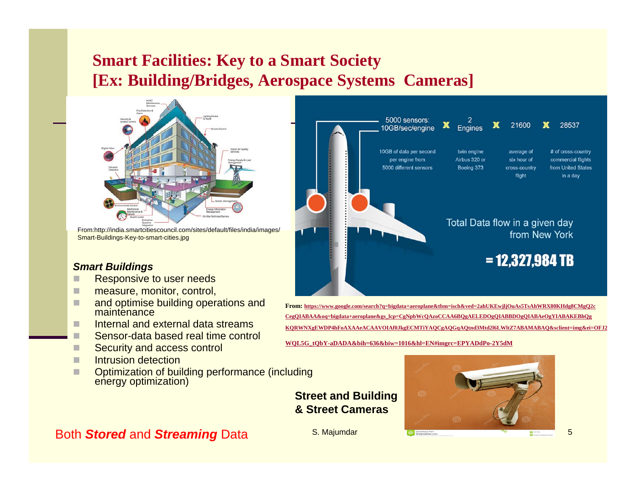# **Smart Facilities: Key to a Smart Society [Ex: Building/Bridges, Aerospace Systems Cameras]**



From:http://india.smartcitiescouncil.com/sites/default/files/india/images/ Smart-Buildings-Key-to-smart-cities.jpg

#### *Smart Buildings*

- П Responsive to user needs
- П measure, monitor, control,
- ш and optimise building operations and maintenance
- п Internal and external data streams
- Sensor-data based real time control
- ш Security and access control
- ш Intrusion detection
- ш Optimization of building performance (including energy optimization)

## Both *Stored* and *Streaming* Data



**From: https://www.google.com/search?q=bigdata+aeroplane&tbm=isch&ved=2ahUKEwjljOuAs5TsAhWRX80KHdg8CMgQ2c CegQIABAA&oq=bigdata+aeroplane&gs\_lcp=CgNpbWcQAzoCCAA6BQgAELEDOgQIABBDOgQIABAeOgYIABAKEBhQg KQRWNXgEWDP4hFoAXAAeACAAVOIAf0JkgECMTiYAQCgAQGqAQtnd3Mtd2l6LWltZ7ABAMABAQ&sclient=img&ei=OFJ2**

**WQL5G\_tQbY-aDADA&bih=636&biw=1016&hl=EN#imgrc=EPYADdPo-2Y5dM**



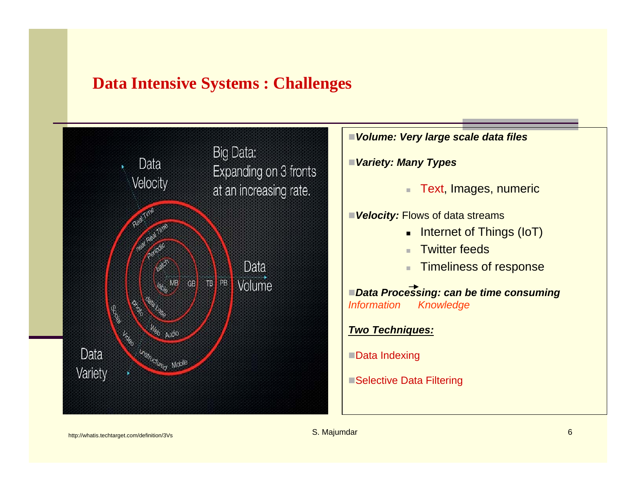## **Data Intensive Systems : Challenges**

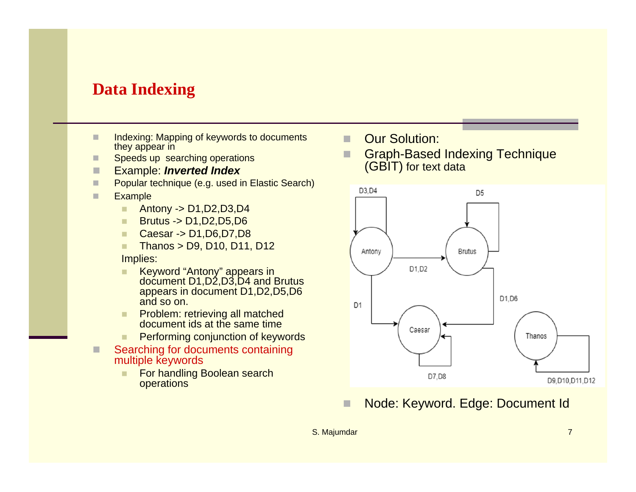# **Data Indexing**

- ш Indexing: Mapping of keywords to documents they appear in
- Speeds up searching operations
- $\Box$ Example: *Inverted Index*
- ш Popular technique (e.g. used in Elastic Search)
- п **Example** 
	- ٠ Antony -> D1,D2,D3,D4
	- п Brutus -> D1,D2,D5,D6
	- п Caesar -> D1,D6,D7,D8
	- $\blacksquare$ Thanos > D9, D10, D11, D12

#### Implies:

- ٠ Keyword "Antony" appears in document D1,D2,D3,D4 and Brutus appears in document D1,D2,D5,D6 and so on.
- п Problem: retrieving all matched document ids at the same time
- $\blacksquare$ Performing conjunction of keywords
- П Searching for documents containing multiple keywords
	- п For handling Boolean search operations
- П Our Solution:
- г Graph-Based Indexing Technique (GBIT) for text data



#### Г Node: Keyword. Edge: Document Id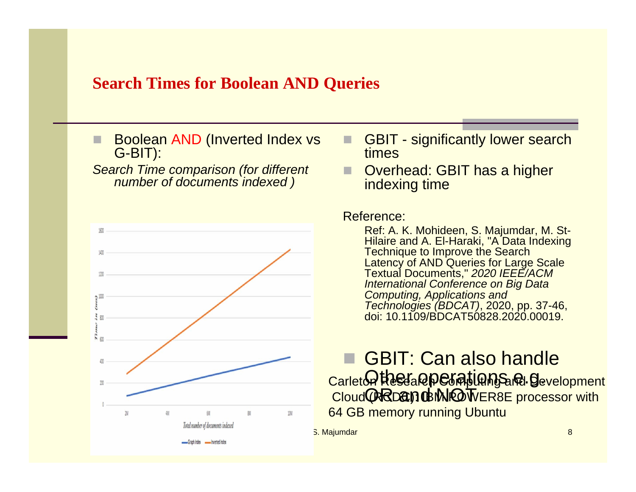## **Search Times for Boolean AND Queries**

П Boolean AND (Inverted Index vs G-BIT):

*Search Time comparison (for different number of documents indexed )*



- П GBIT - significantly lower search times
- Overhead: GBIT has a higher indexing time

#### Reference:

Ref: A. K. Mohideen, S. Majumdar, M. St-Hilaire and A. El-Haraki, "A Data Indexing Technique to Improve the Search Latency of AND Queries for Large Scale Textual Documents," *2020 IEEE/ACM International Conference on Big Data Computing, Applications and Technologies (BDCAT)*, 2020, pp. 37-46, doi: 10.1109/BDCAT50828.2020.00019.

## GBIT: Can also handle <u>Othee aperations and gev</u> Carleton Research Computing and Development<br>Cloud **(RRDC): IBM DEVER8E** processor with 64 GB memory running Ubuntu

S. Majumdar 8 and 8 and 8 and 8 and 8 and 8 and 8 and 8 and 8 and 8 and 8 and 8 and 8 and 8 and 8 and 8 and 8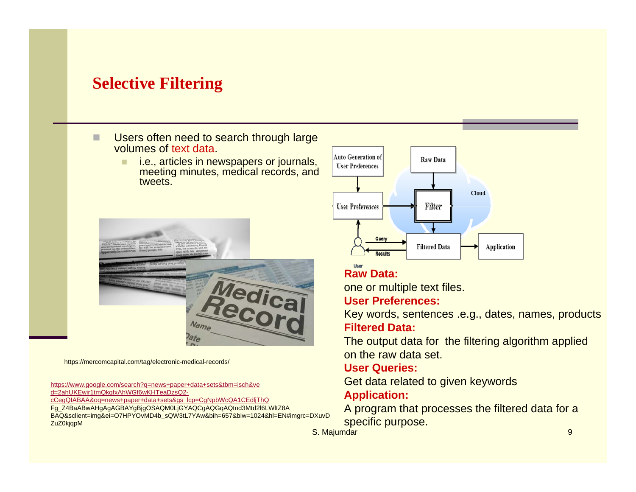# **Selective Filtering**

П Users often need to search through large volumes of text data.

> $\blacksquare$  i.e., articles in newspapers or journals, meeting minutes, medical records, and tweets.



https://mercomcapital.com/tag/electronic-medical-records/

https://www.google.com/search?q=news+paper+data+sets&tbm=isch&ve d=2ahUKEwir1tmQkqfxAhWGf6wKHTeaDzsQ2 cCegQIABAA&oq=news+paper+data+sets&gs\_lcp=CgNpbWcQA1CEdljThQ Fg\_Z4BaABwAHgAgAGBAYgBjgOSAQM0LjGYAQCgAQGqAQtnd3Mtd2l6LWltZ8A BAQ&sclient=img&ei=O7HPYOvMD4b\_sQW3tL7YAw&bih=657&biw=1024&hl=EN#imgrc=DXuvD ZuZ0kjqpM



### **Raw Data:**

one or multiple text files.

#### **User Preferences:**

Key words, sentences .e.g., dates, names, products **Filtered Data:**

The output data for the filtering algorithm applied on the raw data set.

#### **User Queries:**

Get data related to given keywords

### **Application:**

A program that processes the filtered data for a specific purpose.

S. Majumdar 9 and 1990 and 1990 and 1990 and 1990 and 1990 and 1990 and 1990 and 1990 and 1990 and 1990 and 19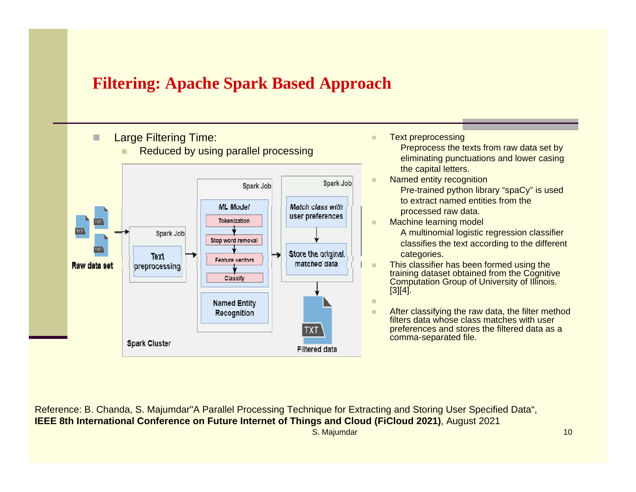# **Filtering: Apache Spark Based Approach**





٠ Text preprocessing

٠

Preprocess the texts from raw data set by eliminating punctuations and lower casing the capital letters.

- Named entity recognition Pre-trained python library "spaCy" is used to extract named entities from the processed raw data.
- Machine learning model A multinomial logistic regression classifier classifies the text according to the different categories.
- ×. This classifier has been formed using the training dataset obtained from the Cognitive Computation Group of University of Illinois.  $[3][4]$ .

 After classifying the raw data, the filter method filters data whose class matches with user preferences and stores the filtered data as a comma-separated file.

S. Majumdar 10 Reference: B. Chanda, S. Majumdar"A Parallel Processing Technique for Extracting and Storing User Specified Data", **IEEE 8th International Conference on Future Internet of Things and Cloud (FiCloud 2021), August 2021**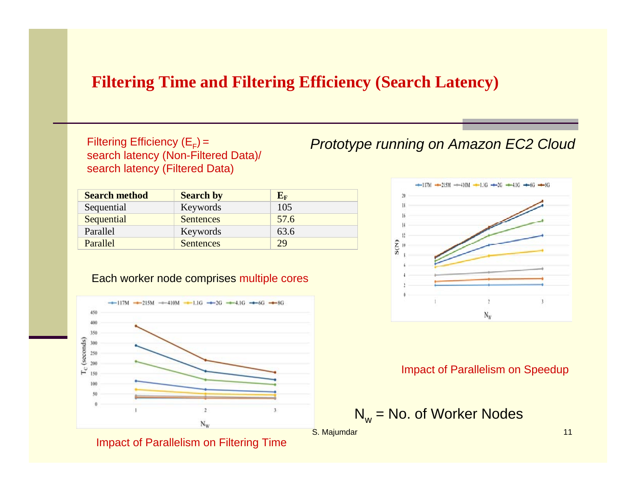# **Filtering Time and Filtering Efficiency (Search Latency)**

search latency (Filtered Data)

| <b>Search method</b> | <b>Search by</b> | $E_{\rm F}$ |
|----------------------|------------------|-------------|
| Sequential           | Keywords         | 105         |
| Sequential           | <b>Sentences</b> | 57.6        |
| Parallel             | Keywords         | 63.6        |
| Parallel             | <b>Sentences</b> | 29          |

#### Each worker node comprises multiple cores



Impact of Parallelism on Filtering Time





#### Impact of Parallelism on Speedup

$$
N_w = No.
$$
 of Worker Nodes

S. Majumdar 11 November 2008 and 2009 and 2009 and 2009 and 2009 and 2009 and 2009 and 2009 and 2009 and 2009